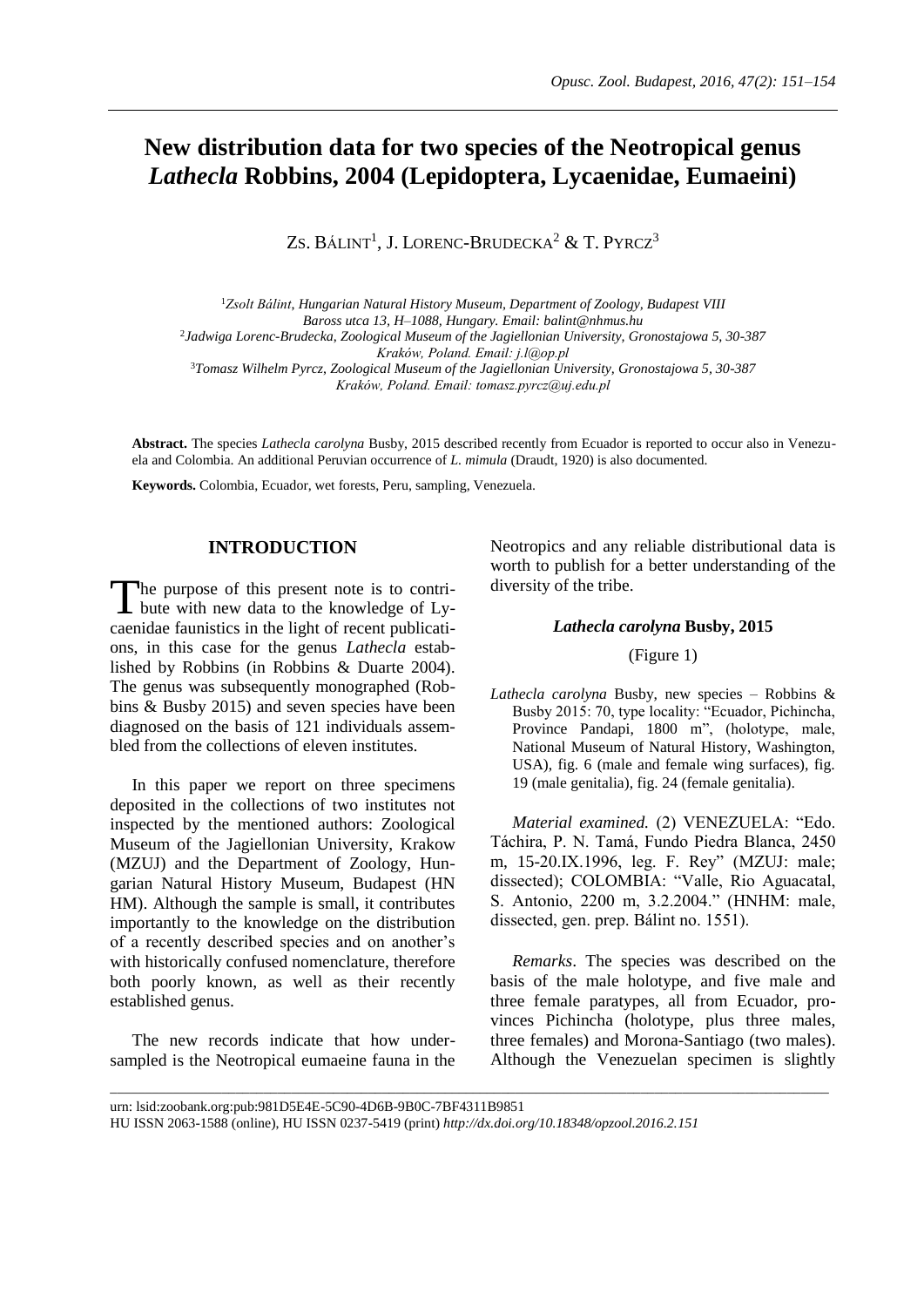# **New distribution data for two species of the Neotropical genus**  *Lathecla* **Robbins, 2004 (Lepidoptera, Lycaenidae, Eumaeini)**

ZS. BÁLINT<sup>1</sup>, J. LORENC-BRUDECKA<sup>2</sup> & T. PYRCZ<sup>3</sup>

<sup>1</sup>*Zsolt Bálint*, *Hungarian Natural History Museum, Department of Zoology, Budapest VIII Baross utca 13, H–1088, Hungary. Email: balint@nhmus.hu* 2 *Jadwiga Lorenc-Brudecka*, *Zoological Museum of the Jagiellonian University, Gronostajowa 5, 30-387 Kraków, Poland. Email: j.l@op.pl* <sup>3</sup>*Tomasz Wilhelm Pyrcz*, *Zoological Museum of the Jagiellonian University, Gronostajowa 5, 30-387 Kraków, Poland. Email: tomasz.pyrcz@uj.edu.pl*

**Abstract.** The species *Lathecla carolyna* Busby, 2015 described recently from Ecuador is reported to occur also in Venezuela and Colombia. An additional Peruvian occurrence of *L. mimula* (Draudt, 1920) is also documented.

**Keywords.** Colombia, Ecuador, wet forests, Peru, sampling, Venezuela.

# **INTRODUCTION**

he purpose of this present note is to contri-The purpose of this present note is to contri-<br>bute with new data to the knowledge of Lycaenidae faunistics in the light of recent publications, in this case for the genus *Lathecla* established by Robbins (in Robbins & Duarte 2004). The genus was subsequently monographed (Robbins & Busby 2015) and seven species have been diagnosed on the basis of 121 individuals assembled from the collections of eleven institutes.

In this paper we report on three specimens deposited in the collections of two institutes not inspected by the mentioned authors: Zoological Museum of the Jagiellonian University, Krakow (MZUJ) and the Department of Zoology, Hungarian Natural History Museum, Budapest (HN HM). Although the sample is small, it contributes importantly to the knowledge on the distribution of a recently described species and on another's with historically confused nomenclature, therefore both poorly known, as well as their recently established genus.

The new records indicate that how undersampled is the Neotropical eumaeine fauna in the Neotropics and any reliable distributional data is worth to publish for a better understanding of the diversity of the tribe.

### *Lathecla carolyna* **Busby, 2015**

# (Figure 1)

*Lathecla carolyna* Busby, new species – Robbins & Busby 2015: 70, type locality: "Ecuador, Pichincha, Province Pandapi, 1800 m", (holotype, male, National Museum of Natural History, Washington, USA), fig. 6 (male and female wing surfaces), fig. 19 (male genitalia), fig. 24 (female genitalia).

*Material examined.* (2) VENEZUELA: "Edo. Táchira, P. N. Tamá, Fundo Piedra Blanca, 2450 m, 15-20.IX.1996, leg. F. Rey" (MZUJ: male; dissected); COLOMBIA: "Valle, Rio Aguacatal, S. Antonio, 2200 m, 3.2.2004." (HNHM: male, dissected, gen. prep. Bálint no. 1551).

*Remarks*. The species was described on the basis of the male holotype, and five male and three female paratypes, all from Ecuador, provinces Pichincha (holotype, plus three males, three females) and Morona-Santiago (two males). Although the Venezuelan specimen is slightly

\_\_\_\_\_\_\_\_\_\_\_\_\_\_\_\_\_\_\_\_\_\_\_\_\_\_\_\_\_\_\_\_\_\_\_\_\_\_\_\_\_\_\_\_\_\_\_\_\_\_\_\_\_\_\_\_\_\_\_\_\_\_\_\_\_\_\_\_\_\_\_\_\_\_\_\_\_\_\_\_\_\_\_\_\_\_\_\_\_\_\_\_\_\_\_\_\_\_\_\_\_\_\_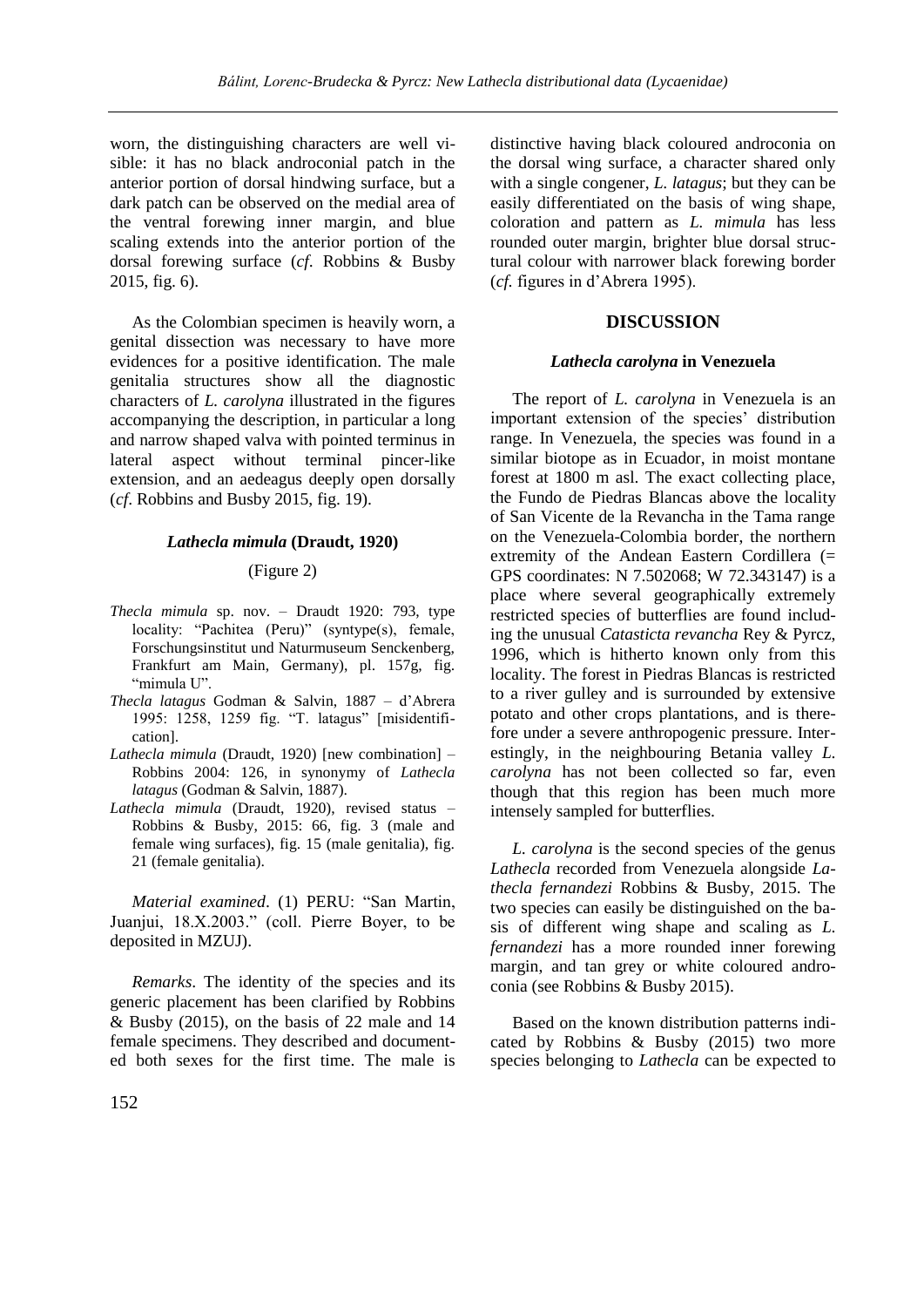worn, the distinguishing characters are well visible: it has no black androconial patch in the anterior portion of dorsal hindwing surface, but a dark patch can be observed on the medial area of the ventral forewing inner margin, and blue scaling extends into the anterior portion of the dorsal forewing surface (*cf*. Robbins & Busby 2015, fig. 6).

As the Colombian specimen is heavily worn, a genital dissection was necessary to have more evidences for a positive identification. The male genitalia structures show all the diagnostic characters of *L. carolyna* illustrated in the figures accompanying the description, in particular a long and narrow shaped valva with pointed terminus in lateral aspect without terminal pincer-like extension, and an aedeagus deeply open dorsally (*cf*. Robbins and Busby 2015, fig. 19).

#### *Lathecla mimula* **(Draudt, 1920)**

# (Figure 2)

- *Thecla mimula* sp. nov. Draudt 1920: 793, type locality: "Pachitea (Peru)" (syntype(s), female, Forschungsinstitut und Naturmuseum Senckenberg, Frankfurt am Main, Germany), pl. 157g, fig. "mimula U".
- *Thecla latagus* Godman & Salvin, 1887 d'Abrera 1995: 1258, 1259 fig. "T. latagus" [misidentification].
- *Lathecla mimula* (Draudt, 1920) [new combination] Robbins 2004: 126, in synonymy of *Lathecla latagus* (Godman & Salvin, 1887).
- *Lathecla mimula* (Draudt, 1920), revised status Robbins & Busby, 2015: 66, fig. 3 (male and female wing surfaces), fig. 15 (male genitalia), fig. 21 (female genitalia).

*Material examined*. (1) PERU: "San Martin, Juanjui, 18.X.2003." (coll. Pierre Boyer, to be deposited in MZUJ).

*Remarks*. The identity of the species and its generic placement has been clarified by Robbins & Busby (2015), on the basis of 22 male and 14 female specimens. They described and documented both sexes for the first time. The male is

distinctive having black coloured androconia on the dorsal wing surface, a character shared only with a single congener, *L. latagus*; but they can be easily differentiated on the basis of wing shape, coloration and pattern as *L. mimula* has less rounded outer margin, brighter blue dorsal structural colour with narrower black forewing border (*cf.* figures in d'Abrera 1995).

# **DISCUSSION**

#### *Lathecla carolyna* **in Venezuela**

The report of *L. carolyna* in Venezuela is an important extension of the species' distribution range. In Venezuela, the species was found in a similar biotope as in Ecuador, in moist montane forest at 1800 m asl. The exact collecting place, the Fundo de Piedras Blancas above the locality of San Vicente de la Revancha in the Tama range on the Venezuela-Colombia border, the northern extremity of the Andean Eastern Cordillera (= GPS coordinates: N 7.502068; W 72.343147) is a place where several geographically extremely restricted species of butterflies are found including the unusual *Catasticta revancha* Rey & Pyrcz, 1996, which is hitherto known only from this locality. The forest in Piedras Blancas is restricted to a river gulley and is surrounded by extensive potato and other crops plantations, and is therefore under a severe anthropogenic pressure. Interestingly, in the neighbouring Betania valley *L. carolyna* has not been collected so far, even though that this region has been much more intensely sampled for butterflies.

*L. carolyna* is the second species of the genus *Lathecla* recorded from Venezuela alongside *Lathecla fernandezi* Robbins & Busby, 2015. The two species can easily be distinguished on the basis of different wing shape and scaling as *L. fernandezi* has a more rounded inner forewing margin, and tan grey or white coloured androconia (see Robbins & Busby 2015).

Based on the known distribution patterns indicated by Robbins & Busby (2015) two more species belonging to *Lathecla* can be expected to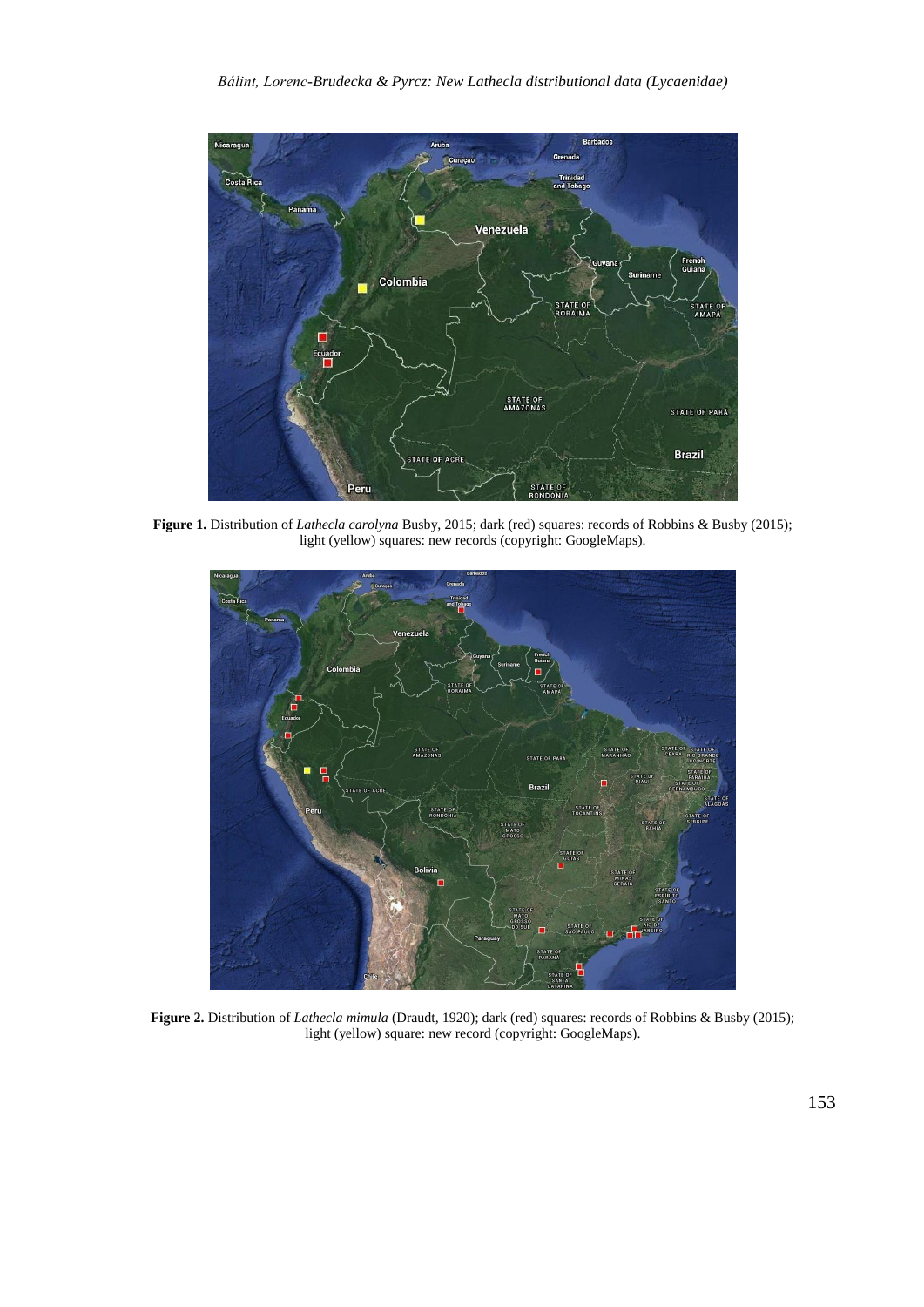

**Figure 1.** Distribution of *Lathecla carolyna* Busby, 2015; dark (red) squares: records of Robbins & Busby (2015); light (yellow) squares: new records (copyright: GoogleMaps).



**Figure 2.** Distribution of *Lathecla mimula* (Draudt, 1920); dark (red) squares: records of Robbins & Busby (2015); light (yellow) square: new record (copyright: GoogleMaps).